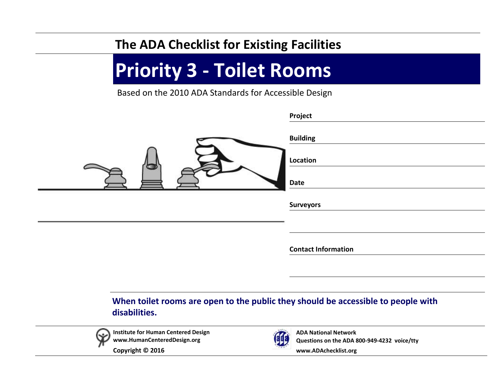## **The ADA Checklist for Existing Facilities**

## **Priority 3 - Toilet Rooms**

Based on the 2010 ADA Standards for Accessible Design

|                                     | Project                                                                           |
|-------------------------------------|-----------------------------------------------------------------------------------|
|                                     | <b>Building</b>                                                                   |
|                                     | Location                                                                          |
|                                     | Date                                                                              |
|                                     | <b>Surveyors</b>                                                                  |
|                                     |                                                                                   |
|                                     | <b>Contact Information</b>                                                        |
|                                     |                                                                                   |
|                                     |                                                                                   |
| disabilities.                       | When toilet rooms are open to the public they should be accessible to people with |
| Institute for Human Centered Design | $\mathbf{z}$<br><b>ADA National Network</b>                                       |

(893)

**Questions on the ADA 800-949-4232 voice/tty**

**[www.ADAchecklist.org](http://www.adachecklist.org/)**

**Copyright © 2016** 

**[www.HumanCenteredDesign.org](http://www.humancentereddesign.org/)**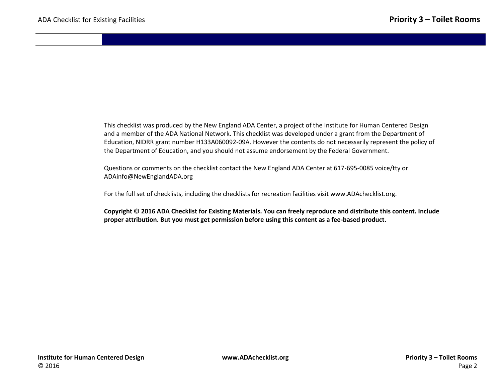This checklist was produced by the New England ADA Center, a project of the Institute for Human Centered Design and a member of the ADA National Network. This checklist was developed under a grant from the Department of Education, NIDRR grant number H133A060092-09A. However the contents do not necessarily represent the policy of the Department of Education, and you should not assume endorsement by the Federal Government.

Questions or comments on the checklist contact the New England ADA Center at 617-695-0085 voice/tty or [ADAinfo@NewEnglandADA.org](mailto:ADAinfo@NewEnglandADA.org)

For the full set of checklists, including the checklists for recreation facilities visit [www.ADAchecklist.org.](http://www.adachecklist.org/)

**Copyright © 2016 ADA Checklist for Existing Materials. You can freely reproduce and distribute this content. Include proper attribution. But you must get permission before using this content as a fee-based product.**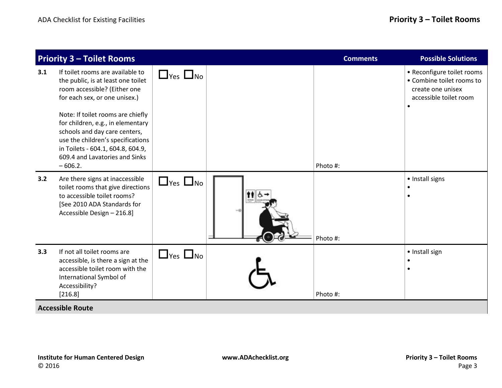|     | <b>Priority 3 - Toilet Rooms</b>                                                                                                                                                                                                                                                                                                                                            |                      |  | <b>Comments</b> | <b>Possible Solutions</b>                                                                              |  |  |
|-----|-----------------------------------------------------------------------------------------------------------------------------------------------------------------------------------------------------------------------------------------------------------------------------------------------------------------------------------------------------------------------------|----------------------|--|-----------------|--------------------------------------------------------------------------------------------------------|--|--|
| 3.1 | If toilet rooms are available to<br>the public, is at least one toilet<br>room accessible? (Either one<br>for each sex, or one unisex.)<br>Note: If toilet rooms are chiefly<br>for children, e.g., in elementary<br>schools and day care centers,<br>use the children's specifications<br>in Toilets - 604.1, 604.8, 604.9,<br>609.4 and Lavatories and Sinks<br>$-606.2.$ | $\Box$ Yes $\Box$ No |  | Photo #:        | • Reconfigure toilet rooms<br>• Combine toilet rooms to<br>create one unisex<br>accessible toilet room |  |  |
| 3.2 | Are there signs at inaccessible<br>toilet rooms that give directions<br>to accessible toilet rooms?<br>[See 2010 ADA Standards for<br>Accessible Design - 216.8]                                                                                                                                                                                                            | $\Box$ yes $\Box$ no |  | Photo #:        | · Install signs                                                                                        |  |  |
| 3.3 | If not all toilet rooms are<br>accessible, is there a sign at the<br>accessible toilet room with the<br>International Symbol of<br>Accessibility?<br>[216.8]                                                                                                                                                                                                                | $\Box$ yes $\Box$ no |  | Photo #:        | • Install sign                                                                                         |  |  |
|     | <b>Accessible Route</b>                                                                                                                                                                                                                                                                                                                                                     |                      |  |                 |                                                                                                        |  |  |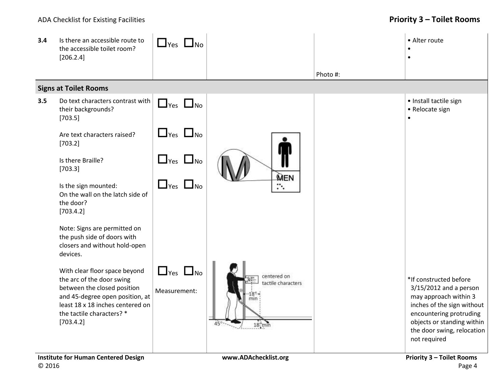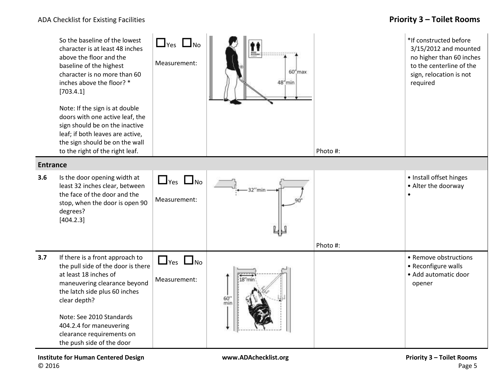|                 | So the baseline of the lowest<br>character is at least 48 inches<br>above the floor and the<br>baseline of the highest<br>character is no more than 60<br>inches above the floor? *<br>[703.4.1]<br>Note: If the sign is at double<br>doors with one active leaf, the<br>sign should be on the inactive<br>leaf; if both leaves are active,<br>the sign should be on the wall<br>to the right of the right leaf. | $\Box$ Yes $\Box$ No<br>Measurement: | $60''$ max<br>48"min | Photo #: | *If constructed before<br>3/15/2012 and mounted<br>no higher than 60 inches<br>to the centerline of the<br>sign, relocation is not<br>required |
|-----------------|------------------------------------------------------------------------------------------------------------------------------------------------------------------------------------------------------------------------------------------------------------------------------------------------------------------------------------------------------------------------------------------------------------------|--------------------------------------|----------------------|----------|------------------------------------------------------------------------------------------------------------------------------------------------|
| <b>Entrance</b> |                                                                                                                                                                                                                                                                                                                                                                                                                  |                                      |                      |          |                                                                                                                                                |
| 3.6             | Is the door opening width at<br>least 32 inches clear, between<br>the face of the door and the<br>stop, when the door is open 90<br>degrees?<br>[404.2.3]                                                                                                                                                                                                                                                        | $\Box$ Yes $\Box$ No<br>Measurement: | 32"min               |          | · Install offset hinges<br>• Alter the doorway                                                                                                 |
| 3.7             | If there is a front approach to<br>the pull side of the door is there<br>at least 18 inches of<br>maneuvering clearance beyond<br>the latch side plus 60 inches<br>clear depth?<br>Note: See 2010 Standards<br>404.2.4 for maneuvering<br>clearance requirements on<br>the push side of the door                                                                                                                 | $\Box$ Yes $\Box$ No<br>Measurement: | 18"mir<br>60'<br>min | Photo #: | • Remove obstructions<br>• Reconfigure walls<br>• Add automatic door<br>opener                                                                 |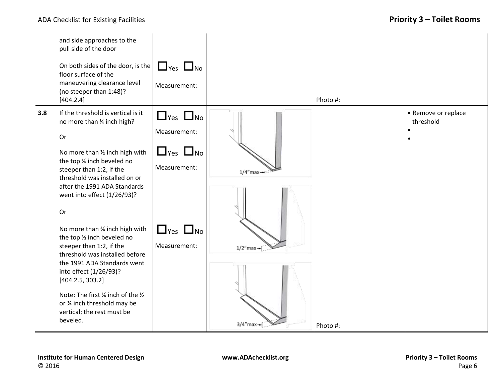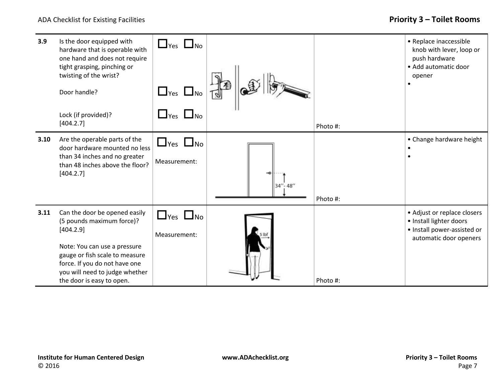| 3.9  | Is the door equipped with<br>hardware that is operable with<br>one hand and does not require<br>tight grasping, pinching or<br>twisting of the wrist?<br>Door handle?<br>Lock (if provided)?                                              | $\Box$ Yes $\Box$ No<br>$\Box$ Yes $\Box$ No<br>$\Box$ Yes $\Box$ No |         |          | • Replace inaccessible<br>knob with lever, loop or<br>push hardware<br>• Add automatic door<br>opener           |
|------|-------------------------------------------------------------------------------------------------------------------------------------------------------------------------------------------------------------------------------------------|----------------------------------------------------------------------|---------|----------|-----------------------------------------------------------------------------------------------------------------|
|      | [404.2.7]                                                                                                                                                                                                                                 |                                                                      |         | Photo #: |                                                                                                                 |
| 3.10 | Are the operable parts of the<br>door hardware mounted no less<br>than 34 inches and no greater<br>than 48 inches above the floor?<br>[404.2.7]                                                                                           | $\Box$ Yes $\Box$ No<br>Measurement:                                 | 34"-48" | Photo #: | • Change hardware height                                                                                        |
| 3.11 | Can the door be opened easily<br>(5 pounds maximum force)?<br>[404.2.9]<br>Note: You can use a pressure<br>gauge or fish scale to measure<br>force. If you do not have one<br>you will need to judge whether<br>the door is easy to open. | $\Box$ Yes $\Box$ No<br>Measurement:                                 |         | Photo #: | • Adjust or replace closers<br>· Install lighter doors<br>• Install power-assisted or<br>automatic door openers |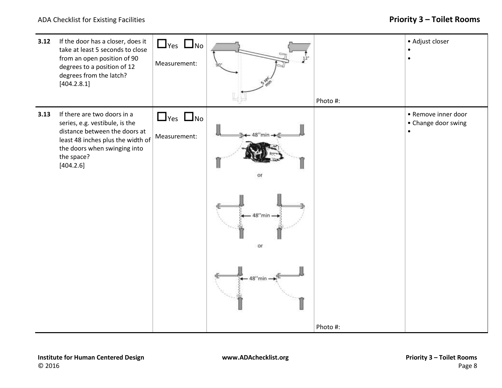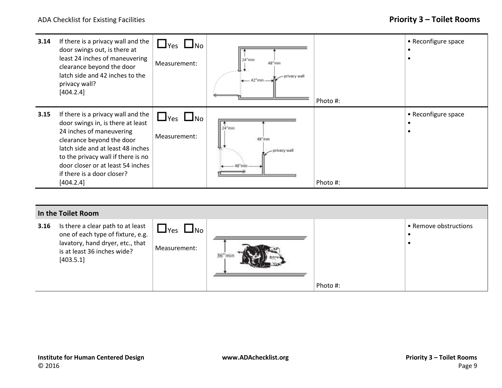

## **In the Toilet Room**

| 3.16 | Is there a clear path to at least<br>one of each type of fixture, e.g.<br>lavatory, hand dryer, etc., that<br>is at least 36 inches wide?<br>[403.5.1] | $I$ Yes $I$ No<br>Measurement: | $36''$ min |          | • Remove obstructions |
|------|--------------------------------------------------------------------------------------------------------------------------------------------------------|--------------------------------|------------|----------|-----------------------|
|      |                                                                                                                                                        |                                |            | Photo #: |                       |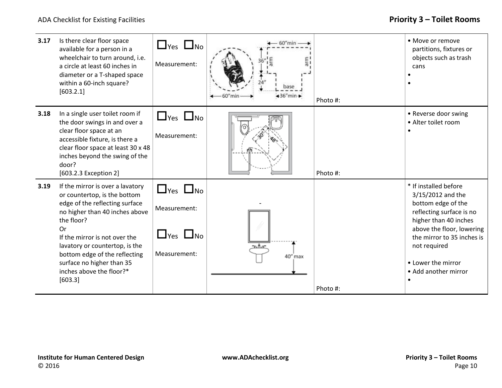| 3.17 | Is there clear floor space<br>available for a person in a<br>wheelchair to turn around, i.e.<br>a circle at least 60 inches in<br>diameter or a T-shaped space<br>within a 60-inch square?<br>[603.2.1]                                                                                                                          | $\Box$ Yes $\Box$ No<br>Measurement:                                         | 60"min<br>base<br>$+36$ "min $+$ | Photo #: | • Move or remove<br>partitions, fixtures or<br>objects such as trash<br>cans                                                                                                                                                                   |
|------|----------------------------------------------------------------------------------------------------------------------------------------------------------------------------------------------------------------------------------------------------------------------------------------------------------------------------------|------------------------------------------------------------------------------|----------------------------------|----------|------------------------------------------------------------------------------------------------------------------------------------------------------------------------------------------------------------------------------------------------|
| 3.18 | In a single user toilet room if<br>the door swings in and over a<br>clear floor space at an<br>accessible fixture, is there a<br>clear floor space at least 30 x 48<br>inches beyond the swing of the<br>door?<br>[603.2.3 Exception 2]                                                                                          | $\Box$ Yes $\Box$ No<br>Measurement:                                         |                                  | Photo #: | • Reverse door swing<br>• Alter toilet room                                                                                                                                                                                                    |
| 3.19 | If the mirror is over a lavatory<br>or countertop, is the bottom<br>edge of the reflecting surface<br>no higher than 40 inches above<br>the floor?<br>Or<br>If the mirror is not over the<br>lavatory or countertop, is the<br>bottom edge of the reflecting<br>surface no higher than 35<br>inches above the floor?*<br>[603.3] | $\Box$ Yes $\Box$ No<br>Measurement:<br>$\Box$ Yes $\Box$ No<br>Measurement: | $m$ Arc<br>40" max               | Photo #: | * If installed before<br>3/15/2012 and the<br>bottom edge of the<br>reflecting surface is no<br>higher than 40 inches<br>above the floor, lowering<br>the mirror to 35 inches is<br>not required<br>• Lower the mirror<br>• Add another mirror |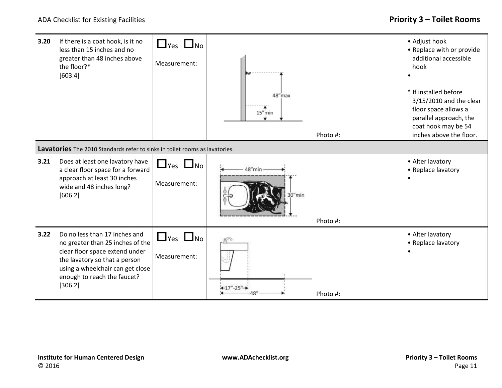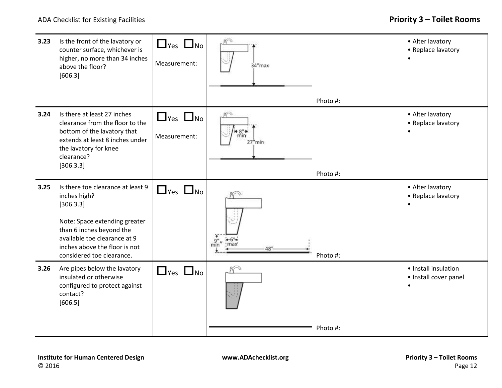| 3.23 | Is the front of the lavatory or<br>counter surface, whichever is<br>higher, no more than 34 inches<br>above the floor?<br>[606.3]                                                                                         | $\Box$ Yes $\Box$ No<br>Measurement: | $K^{\odot}$<br>34"max                    |          | • Alter lavatory<br>• Replace lavatory<br>$\bullet$        |
|------|---------------------------------------------------------------------------------------------------------------------------------------------------------------------------------------------------------------------------|--------------------------------------|------------------------------------------|----------|------------------------------------------------------------|
|      |                                                                                                                                                                                                                           |                                      |                                          | Photo #: |                                                            |
| 3.24 | Is there at least 27 inches<br>clearance from the floor to the<br>bottom of the lavatory that<br>extends at least 8 inches under<br>the lavatory for knee<br>clearance?<br>[306.3.3]                                      | $\Box$ Yes $\Box$ No<br>Measurement: | N <sub>O</sub><br>min<br>$27h$ min       |          | • Alter lavatory<br>• Replace lavatory<br>$\bullet$        |
|      |                                                                                                                                                                                                                           |                                      |                                          | Photo #: |                                                            |
| 3.25 | Is there toe clearance at least 9<br>inches high?<br>[306.3.3]<br>Note: Space extending greater<br>than 6 inches beyond the<br>available toe clearance at 9<br>inches above the floor is not<br>considered toe clearance. | $\Box$ Yes $\Box$ No                 | $\frac{1}{2}$<br>min"<br>$H - 6"$<br>48" | Photo #: | • Alter lavatory<br>• Replace lavatory<br>$\bullet$        |
| 3.26 | Are pipes below the lavatory<br>insulated or otherwise<br>configured to protect against<br>contact?<br>[606.5]                                                                                                            | $\Box$ Yes $\Box$ No                 |                                          | Photo #: | • Install insulation<br>• Install cover panel<br>$\bullet$ |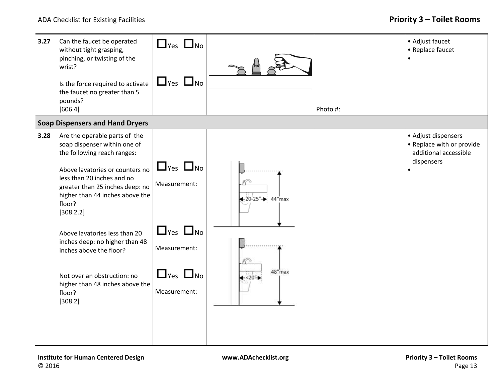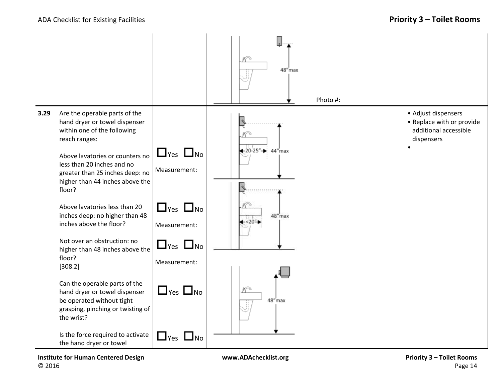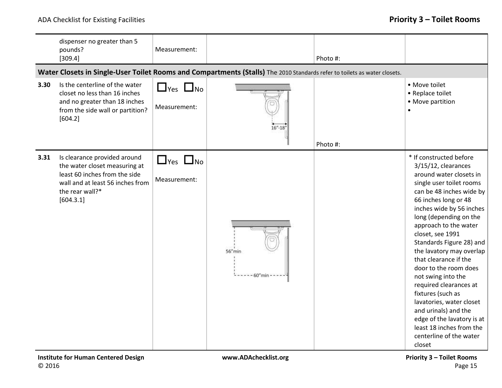|      | dispenser no greater than 5<br>pounds?<br>[309.4]                                                                                                                  | Measurement:                         |                                                                                                                           | Photo #: |                                                                                                                                                                                                                                                                                                                                                                                                                                                                                                                                                                                                |
|------|--------------------------------------------------------------------------------------------------------------------------------------------------------------------|--------------------------------------|---------------------------------------------------------------------------------------------------------------------------|----------|------------------------------------------------------------------------------------------------------------------------------------------------------------------------------------------------------------------------------------------------------------------------------------------------------------------------------------------------------------------------------------------------------------------------------------------------------------------------------------------------------------------------------------------------------------------------------------------------|
|      |                                                                                                                                                                    |                                      | Water Closets in Single-User Toilet Rooms and Compartments (Stalls) The 2010 Standards refer to toilets as water closets. |          |                                                                                                                                                                                                                                                                                                                                                                                                                                                                                                                                                                                                |
| 3.30 | Is the centerline of the water<br>closet no less than 16 inches<br>and no greater than 18 inches<br>from the side wall or partition?<br>[604.2]                    | $\Box$ Yes $\Box$ No<br>Measurement: | $16 - 18$                                                                                                                 | Photo #: | • Move toilet<br>• Replace toilet<br>• Move partition                                                                                                                                                                                                                                                                                                                                                                                                                                                                                                                                          |
| 3.31 | Is clearance provided around<br>the water closet measuring at<br>least 60 inches from the side<br>wall and at least 56 inches from<br>the rear wall?*<br>[604.3.1] | $\Box$ Yes $\Box$ No<br>Measurement: | $56''$ min<br>$-60$ "min                                                                                                  |          | * If constructed before<br>3/15/12, clearances<br>around water closets in<br>single user toilet rooms<br>can be 48 inches wide by<br>66 inches long or 48<br>inches wide by 56 inches<br>long (depending on the<br>approach to the water<br>closet, see 1991<br>Standards Figure 28) and<br>the lavatory may overlap<br>that clearance if the<br>door to the room does<br>not swing into the<br>required clearances at<br>fixtures (such as<br>lavatories, water closet<br>and urinals) and the<br>edge of the lavatory is at<br>least 18 inches from the<br>centerline of the water<br>closet |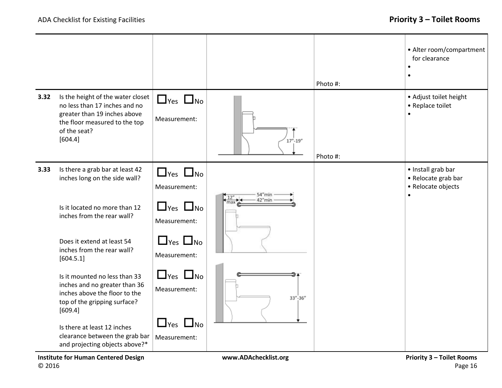|      |                                                                                                                                                                |                                      |               | Photo #: | • Alter room/compartment<br>for clearance<br>$\bullet$<br>$\bullet$          |
|------|----------------------------------------------------------------------------------------------------------------------------------------------------------------|--------------------------------------|---------------|----------|------------------------------------------------------------------------------|
| 3.32 | Is the height of the water closet<br>no less than 17 inches and no<br>greater than 19 inches above<br>the floor measured to the top<br>of the seat?<br>[604.4] | $\Box$ Yes $\Box$ No<br>Measurement: | $17'' - 19''$ | Photo #: | • Adjust toilet height<br>• Replace toilet                                   |
| 3.33 | Is there a grab bar at least 42<br>inches long on the side wall?                                                                                               | $\Box$ Yes $\Box$ No<br>Measurement: | $54$ "min     |          | • Install grab bar<br>• Relocate grab bar<br>• Relocate objects<br>$\bullet$ |
|      | Is it located no more than 12<br>inches from the rear wall?                                                                                                    | $\Box$ Yes $\Box$ No<br>Measurement: | 42"min<br>max |          |                                                                              |
|      | Does it extend at least 54<br>inches from the rear wall?<br>[604.5.1]                                                                                          | $\Box$ Yes $\Box$ No<br>Measurement: |               |          |                                                                              |
|      | Is it mounted no less than 33<br>inches and no greater than 36<br>inches above the floor to the<br>top of the gripping surface?<br>[609.4]                     | $\Box$ Yes $\Box$ No<br>Measurement: | $33 - 36$     |          |                                                                              |
|      | Is there at least 12 inches<br>clearance between the grab bar<br>and projecting objects above?*                                                                | $\Box$ Yes $\Box$ No<br>Measurement: |               |          |                                                                              |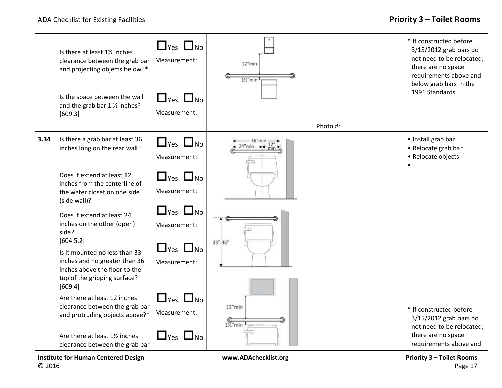

**Institute for Human Centered Design [www.ADAchecklist.org](http://www.adachecklist.org/) Priority 3 – Toilet Rooms** © 2016 Page 17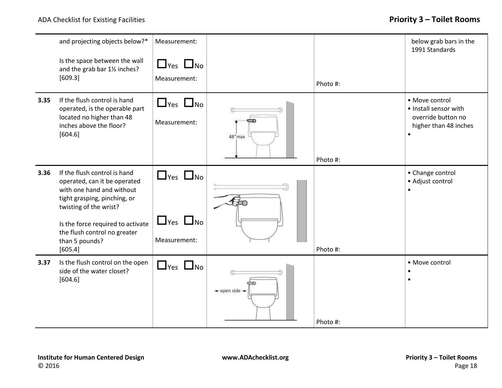|      | and projecting objects below?*<br>Is the space between the wall<br>and the grab bar 11/2 inches?<br>[609.3]                                                                                                                                           | Measurement:<br>$\Box$ Yes $\Box$ No<br>Measurement:         |                                       | Photo #: | below grab bars in the<br>1991 Standards                                               |
|------|-------------------------------------------------------------------------------------------------------------------------------------------------------------------------------------------------------------------------------------------------------|--------------------------------------------------------------|---------------------------------------|----------|----------------------------------------------------------------------------------------|
| 3.35 | If the flush control is hand<br>operated, is the operable part<br>located no higher than 48<br>inches above the floor?<br>[604.6]                                                                                                                     | $\Box$ Yes $\Box$ No<br>Measurement:                         | ⇔<br>48"max                           | Photo #: | • Move control<br>• Install sensor with<br>override button no<br>higher than 48 inches |
| 3.36 | If the flush control is hand<br>operated, can it be operated<br>with one hand and without<br>tight grasping, pinching, or<br>twisting of the wrist?<br>Is the force required to activate<br>the flush control no greater<br>than 5 pounds?<br>[605.4] | $\Box$ Yes $\Box$ No<br>$\Box$ Yes $\Box$ No<br>Measurement: |                                       | Photo #: | • Change control<br>• Adjust control                                                   |
| 3.37 | Is the flush control on the open<br>side of the water closet?<br>[604.6]                                                                                                                                                                              | $\Box$ Yes $\Box$ No                                         | $\rightarrow$ open side $\rightarrow$ | Photo #: | • Move control                                                                         |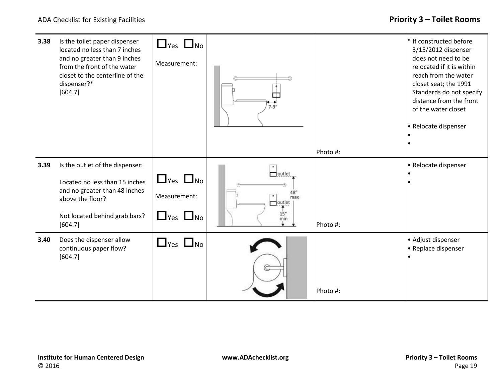| 3.38 | Is the toilet paper dispenser<br>located no less than 7 inches<br>and no greater than 9 inches<br>from the front of the water<br>closet to the centerline of the<br>dispenser?*<br>[604.7] | $\Box$ Yes $\Box$ No<br>Measurement: | $7 - 9'$             | Photo #: | * If constructed before<br>3/15/2012 dispenser<br>does not need to be<br>relocated if it is within<br>reach from the water<br>closet seat; the 1991<br>Standards do not specify<br>distance from the front<br>of the water closet<br>• Relocate dispenser |
|------|--------------------------------------------------------------------------------------------------------------------------------------------------------------------------------------------|--------------------------------------|----------------------|----------|-----------------------------------------------------------------------------------------------------------------------------------------------------------------------------------------------------------------------------------------------------------|
| 3.39 | Is the outlet of the dispenser:                                                                                                                                                            |                                      | $\Box$ outlet        |          | • Relocate dispenser                                                                                                                                                                                                                                      |
|      | Located no less than 15 inches                                                                                                                                                             | $\Box$ Yes $\Box$ No                 |                      |          |                                                                                                                                                                                                                                                           |
|      | and no greater than 48 inches<br>above the floor?                                                                                                                                          | Measurement:                         | max<br>$\Box$ outlet |          |                                                                                                                                                                                                                                                           |
|      | Not located behind grab bars?<br>[604.7]                                                                                                                                                   | $\Box$ Yes $\Box$ No                 | 15''<br>min          | Photo #: |                                                                                                                                                                                                                                                           |
| 3.40 | Does the dispenser allow<br>continuous paper flow?<br>[604.7]                                                                                                                              | $\Box$ Yes $\Box$ No                 |                      | Photo #: | • Adjust dispenser<br>• Replace dispenser                                                                                                                                                                                                                 |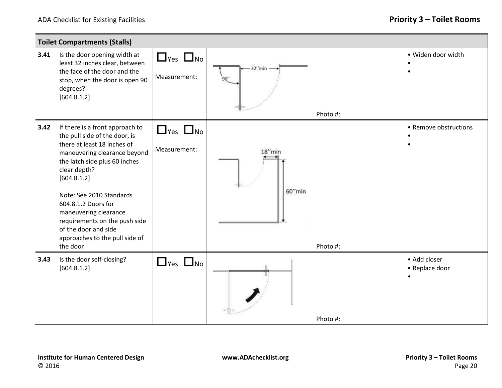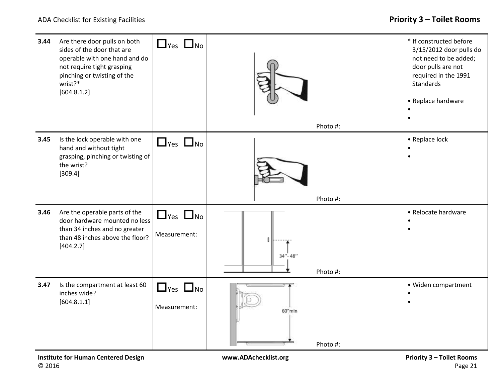| 3.44 | Are there door pulls on both<br>sides of the door that are<br>operable with one hand and do<br>not require tight grasping<br>pinching or twisting of the<br>wrist?*<br>[604.8.1.2] | $\Box$ Yes $\Box$ No                 |               | Photo #: | * If constructed before<br>3/15/2012 door pulls do<br>not need to be added;<br>door pulls are not<br>required in the 1991<br><b>Standards</b><br>• Replace hardware |
|------|------------------------------------------------------------------------------------------------------------------------------------------------------------------------------------|--------------------------------------|---------------|----------|---------------------------------------------------------------------------------------------------------------------------------------------------------------------|
| 3.45 | Is the lock operable with one<br>hand and without tight<br>grasping, pinching or twisting of<br>the wrist?<br>[309.4]                                                              | $\Box$ Yes $\Box$ No                 |               | Photo #: | • Replace lock                                                                                                                                                      |
| 3.46 | Are the operable parts of the<br>door hardware mounted no less<br>than 34 inches and no greater<br>than 48 inches above the floor?<br>[404.2.7]                                    | $\Box$ Yes $\Box$ No<br>Measurement: | $34'' - 48''$ | Photo #: | • Relocate hardware                                                                                                                                                 |
| 3.47 | Is the compartment at least 60<br>inches wide?<br>[604.8.1.1]                                                                                                                      | $\Box$ Yes $\Box$ No<br>Measurement: | 60"min        | Photo #: | · Widen compartment<br>$\bullet$                                                                                                                                    |